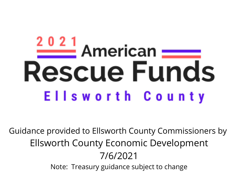# $\frac{2021}{2}$  American  $=$ **Rescue Funds** Ellsworth County

Guidance provided to Ellsworth County Commissioners by Ellsworth County Economic Development 7/6/2021 Note: Treasury guidance subject to change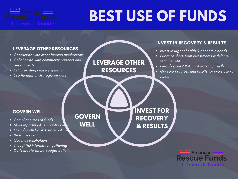

## **BEST USE OF FUNDS**

### LEVERAGE OTHER RESOURCES

- Coordinate with other funding mechanisms
- Collaborate with community partners and departments
- Using existing delivery systems
- Use thoughtful strategic process

**LEVERAGE OTHER RESOURCES**

### INVEST IN RECOVERY & RESULTS

- Invest in urgent health & economic needs
- Prioritize short-term investments with longterm benefits
- Identify pre-COVID inhibitors to growth
- Measure progress and results for every use of funds

### GOVERN WELL

- Compliant uses of funds
- Meet reporting & accounting rules
- Comply with local & state policie
- Be transparent
- Covene stakeholders
- Thoughtful information gathering
- Don't create future budget deficits

**GOVERN WELL**

**INVEST FOR RECOVERY & RESULTS**

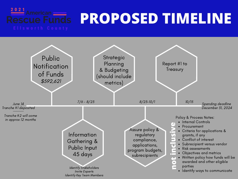# **PROPOSED TIMELINE**

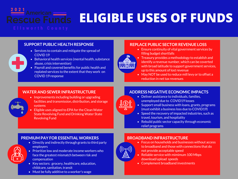**ELIGIBLE USES OF FUNDS**

#### **SUPPORT PUBLIC HEALTH RESPONSE REPLACE PUBLIC SECTOR REVENUE LOSS**

- Services to contain and mitigate the spread of COVID 19
- Behavioral health services (mental health, substance abuse, crisis intervention)
- Payroll and covered benefits for public health and replated services to the extent that they work on COVID 19 response

- Ensure continuity of vital government services by filling budget shortfalls
	- Treasury provides a methodology to establish and identify a revenue number, which can be coverted with broad latitude to support government services, up to this amount of lost revenue
	- May NOT be used to reduce mill levy or to offset a reduction in net tax revenues

### **WATER AND SEWER INFRASTRUCTURE**

- Improvements including building or upgrading facilities and transmission, distribution, and storage systems
- Eligible uses aligned to EPA for the Clean Water State Revolving Fund and Drinking Water State Revolving Fund

### **ADDRESS NEGATIVE ECONOMIC IMPACTS**

- Deliver assistance to individuals, families, unemployed due to COVID19 losses
	- Support small business with loans, grants, programs (must exhibit a business loss due to COVID19)
	- Speed the recovery of impacted industries, such as travel, tourism, and hospitality
	- Rebuild public sector capacity through economic relief programs

### **PREMIUM PAY FOR ESSENTIALWORKERS**

- Directly and indirectly through grants to third party employers
- Prioritize low and moderate income workers who face the greatest mismatch between risk and compensation
- Key sectors: grocery, healthcare, education, childcare, sanitation, transit
- Must be fully additive to a worker's wage

### **BROADBAND INFRASTRUCTURE**



- Focus on households and businesses without access to broadband and those with connections that do not provide acceptable speed
- Reliable service with mimimum 100 Mbps download/upload speeds
- Complement broadband investments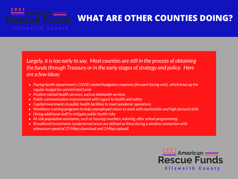### 2021 American **escue Funds**

### **WHAT ARE OTHER COUNTIES DOING?**

*Largely, it istoo early to say. Most counties are still in the process of obtaining the funds through Treasury or in the early stages of strategy and policy. Here are a few ideas:*

- *Paying health department's COVID related budgetary expenses(forward-facing only), which frees up the regular budget for unrestricted funds*
- *Positive mental health services,such astelehealth services*
- *Public communication improvement with regard to health and safety*
- *Capital investmentsin public health facilitiesto meet pandemic operations*
- *Workforce training programsto help unemployed return to work with marketable and high demand skills*
- *Hiring additionalstaff to mitigate public health risks*
- **•** At-risk population assistance, such as housing vouchers, tutoring, after school programming
- *Broadband investments(underserved areas are defined asthose facing a wireline connection with mimumum speed of 25 Mbps download and 3 Mbps upload)*

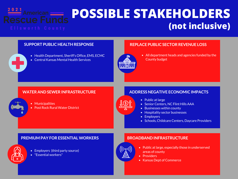### **POSSIBLE STAKEHOLDERS (not inclusive)**

- Health Department, Sheriff's Office, EMS, ECMC
- Central Kansas Mental Health Services

### **SUPPORT PUBLIC HEALTH RESPONSE REPLACE PUBLIC SECTOR REVENUE LOSS**

- 
- All department heads and agencies funded by the County budget

### **WATER AND SEWER INFRASTRUCTURE**

- Municipalities
- Post Rock Rural Water District

### **ADDRESS NEGATIVE ECONOMIC IMPACTS**

- Public at large
- Senior Centers, NC Flint Hills AAA
- Businesses within county
- Hospitality sector businesses
- Employers
- Schools, Childcare Centers, Daycare Providers

#### **PREMIUM PAY FOR ESSENTIALWORKERS**

- Employers (third party source)
- "Essential workers"

### **BROADBAND INFRASTRUCTURE**



- Public at large, especially those in underserved areas of county
- Providers
- Kansas Dept of Commerce